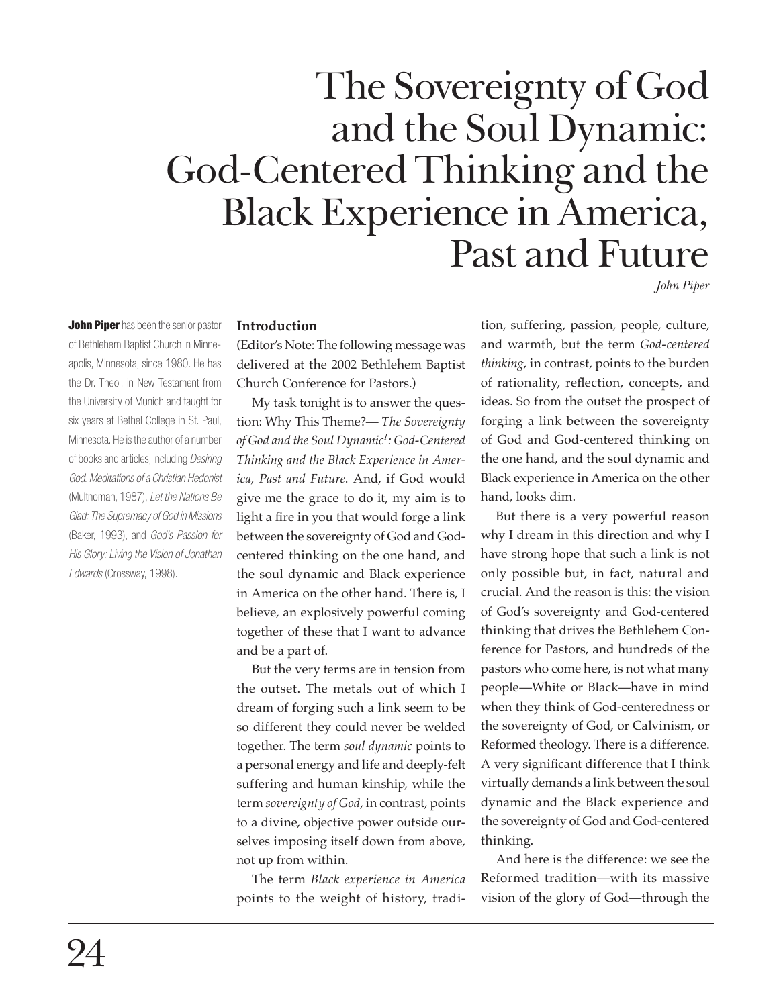# The Sovereignty of God and the Soul Dynamic: God-Centered Thinking and the Black Experience in America, Past and Future

*John Piper*

**John Piper** has been the senior pastor of Bethlehem Baptist Church in Minneapolis, Minnesota, since 1980. He has the Dr. Theol. in New Testament from the University of Munich and taught for six years at Bethel College in St. Paul, Minnesota. He is the author of a number of books and articles, including *Desiring God: Meditations of a Christian Hedonist* (Multnomah, 1987), *Let the Nations Be Glad: The Supremacy of God in Missions* (Baker, 1993), and *God's Passion for His Glory: Living the Vision of Jonathan Edwards* (Crossway, 1998).

#### **Introduction**

(Editor's Note: The following message was delivered at the 2002 Bethlehem Baptist Church Conference for Pastors.)

My task tonight is to answer the question: Why This Theme?— *The Sovereignty of God and the Soul Dynamic<sup>1</sup> : God-Centered Thinking and the Black Experience in America, Past and Future*. And, if God would give me the grace to do it, my aim is to light a fire in you that would forge a link between the sovereignty of God and Godcentered thinking on the one hand, and the soul dynamic and Black experience in America on the other hand. There is, I believe, an explosively powerful coming together of these that I want to advance and be a part of.

But the very terms are in tension from the outset. The metals out of which I dream of forging such a link seem to be so different they could never be welded together. The term *soul dynamic* points to a personal energy and life and deeply-felt suffering and human kinship, while the term *sovereignty of God*, in contrast, points to a divine, objective power outside ourselves imposing itself down from above, not up from within.

The term *Black experience in America* points to the weight of history, tradition, suffering, passion, people, culture, and warmth, but the term *God-centered thinking*, in contrast, points to the burden of rationality, reflection, concepts, and ideas. So from the outset the prospect of forging a link between the sovereignty of God and God-centered thinking on the one hand, and the soul dynamic and Black experience in America on the other hand, looks dim.

But there is a very powerful reason why I dream in this direction and why I have strong hope that such a link is not only possible but, in fact, natural and crucial. And the reason is this: the vision of God's sovereignty and God-centered thinking that drives the Bethlehem Conference for Pastors, and hundreds of the pastors who come here, is not what many people—White or Black—have in mind when they think of God-centeredness or the sovereignty of God, or Calvinism, or Reformed theology. There is a difference. A very significant difference that I think virtually demands a link between the soul dynamic and the Black experience and the sovereignty of God and God-centered thinking.

And here is the difference: we see the Reformed tradition—with its massive vision of the glory of God—through the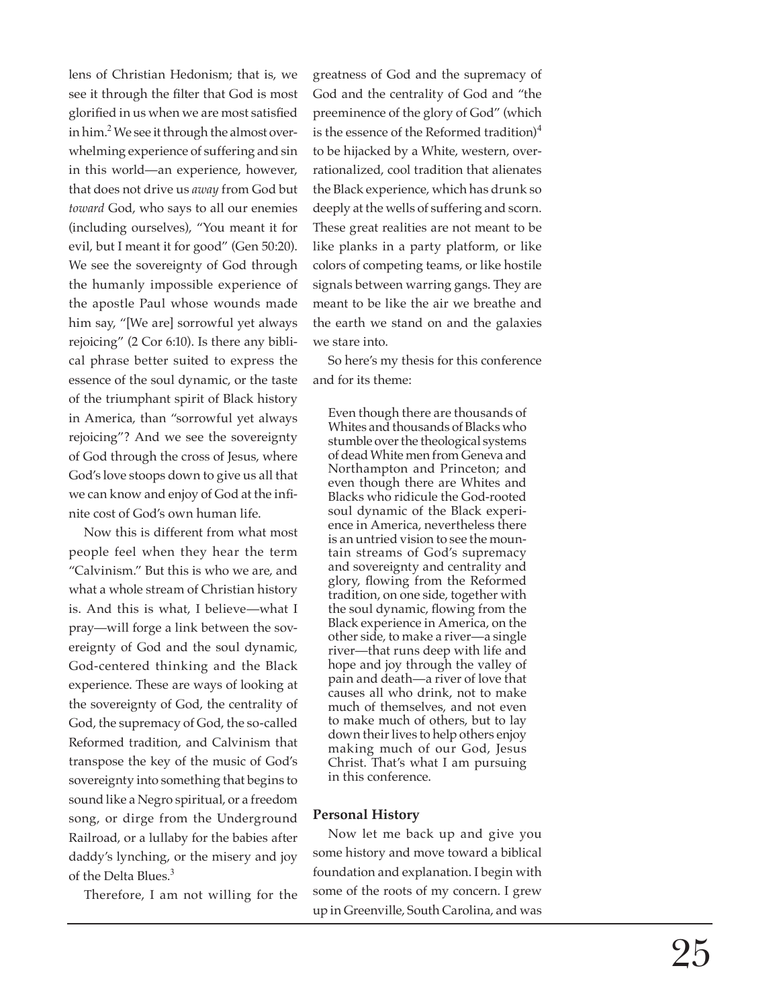lens of Christian Hedonism; that is, we see it through the filter that God is most glorified in us when we are most satisfied in him. 2 We see it through the almost overwhelming experience of suffering and sin in this world—an experience, however, that does not drive us *away* from God but *toward* God, who says to all our enemies (including ourselves), "You meant it for evil, but I meant it for good" (Gen 50:20). We see the sovereignty of God through the humanly impossible experience of the apostle Paul whose wounds made him say, "[We are] sorrowful yet always rejoicing" (2 Cor 6:10). Is there any biblical phrase better suited to express the essence of the soul dynamic, or the taste of the triumphant spirit of Black history in America, than "sorrowful yet always rejoicing"? And we see the sovereignty of God through the cross of Jesus, where God's love stoops down to give us all that we can know and enjoy of God at the in fi nite cost of God's own human life.

Now this is different from what most people feel when they hear the term "Calvinism." But this is who we are, and what a whole stream of Christian history is. And this is what, I believe—what I pray—will forge a link between the sovereignty of God and the soul dynamic, God-centered thinking and the Black experience. These are ways of looking at the sovereignty of God, the centrality of God, the supremacy of God, the so-called Reformed tradition, and Calvinism that transpose the key of the music of God's sovereignty into something that begins to sound like a Negro spiritual, or a freedom song, or dirge from the Underground Railroad, or a lullaby for the babies after daddy's lynching, or the misery and joy of the Delta Blues. 3

Therefore, I am not willing for the

greatness of God and the supremacy of God and the centrality of God and "the preeminence of the glory of God" (which is the essence of the Reformed tradition) 4 to be hijacked by a White, western, overrationalized, cool tradition that alienates the Black experience, which has drunk so deeply at the wells of suffering and scorn. These great realities are not meant to be like planks in a party platform, or like colors of competing teams, or like hostile signals between warring gangs. They are meant to be like the air we breathe and the earth we stand on and the galaxies we stare into.

So here's my thesis for this conference and for its theme:

Even though there are thousands of Whites and thousands of Blacks who stumble over the theological systems of dead White men from Geneva and Northampton and Princeton; and even though there are Whites and Blacks who ridicule the God-rooted soul dynamic of the Black experience in America, nevertheless there is an untried vision to see the mountain streams of God's supremacy and sovereignty and centrality and glory, flowing from the Reformed tradition, on one side, together with the soul dynamic, flowing from the Black experience in America, on the other side, to make a river—a single river—that runs deep with life and hope and joy through the valley of pain and death—a river of love that causes all who drink, not to make much of themselves, and not even to make much of others, but to lay down their lives to help others enjoy making much of our God, Jesus Christ. That's what I am pursuing in this conference.

## **Personal History**

Now let me back up and give you some history and move toward a biblical foundation and explanation. I begin with some of the roots of my concern. I grew up in Greenville, South Carolina, and was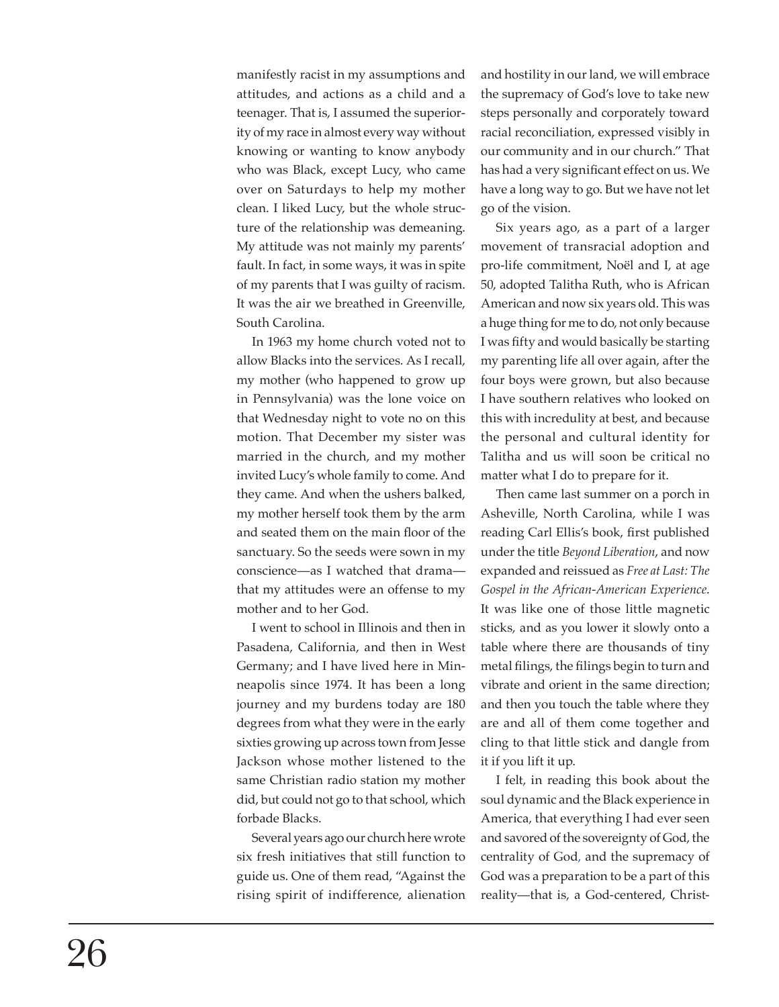manifestly racist in my assumptions and attitudes, and actions as a child and a teenager. That is, I assumed the superiority of my race in almost every way without knowing or wanting to know anybody who was Black, except Lucy, who came over on Saturdays to help my mother clean. I liked Lucy, but the whole structure of the relationship was demeaning. My attitude was not mainly my parents' fault. In fact, in some ways, it was in spite of my parents that I was guilty of racism. It was the air we breathed in Greenville, South Carolina.

In 1963 my home church voted not to allow Blacks into the services. As I recall, my mother (who happened to grow up in Pennsylvania) was the lone voice on that Wednesday night to vote no on this motion. That December my sister was married in the church, and my mother invited Lucy's whole family to come. And they came. And when the ushers balked, my mother herself took them by the arm and seated them on the main floor of the sanctuary. So the seeds were sown in my conscience—as I watched that drama that my attitudes were an offense to my mother and to her God.

I went to school in Illinois and then in Pasadena, California, and then in West Germany; and I have lived here in Minneapolis since 1974. It has been a long journey and my burdens today are 180 degrees from what they were in the early sixties growing up across town from Jesse Jackson whose mother listened to the same Christian radio station my mother did, but could not go to that school, which forbade Blacks.

Several years ago our church here wrote six fresh initiatives that still function to guide us. One of them read, "Against the rising spirit of indifference, alienation and hostility in our land, we will embrace the supremacy of God's love to take new steps personally and corporately toward racial reconciliation, expressed visibly in our community and in our church." That has had a very significant effect on us. We have a long way to go. But we have not let go of the vision.

Six years ago, as a part of a larger movement of transracial adoption and pro-life commitment, Noël and I, at age 50, adopted Talitha Ruth, who is African American and now six years old. This was a huge thing for me to do, not only because I was fifty and would basically be starting my parenting life all over again, after the four boys were grown, but also because I have southern relatives who looked on this with incredulity at best, and because the personal and cultural identity for Talitha and us will soon be critical no matter what I do to prepare for it.

Then came last summer on a porch in Asheville, North Carolina, while I was reading Carl Ellis's book, first published under the title *Beyond Liberation*, and now expanded and reissued as *Free at Last: The Gospel in the African-American Experience*. It was like one of those little magnetic sticks, and as you lower it slowly onto a table where there are thousands of tiny metal filings, the filings begin to turn and vibrate and orient in the same direction; and then you touch the table where they are and all of them come together and cling to that little stick and dangle from it if you lift it up.

I felt, in reading this book about the soul dynamic and the Black experience in America, that everything I had ever seen and savored of the sovereignty of God, the centrality of God, and the supremacy of God was a preparation to be a part of this reality—that is, a God-centered, Christ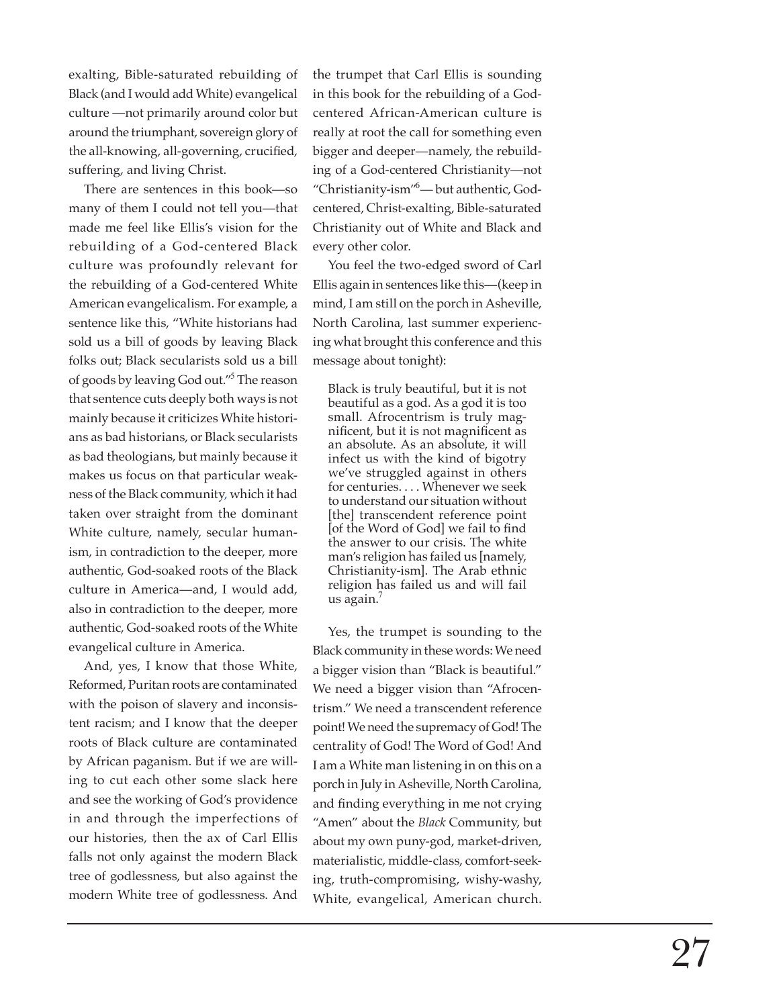exalting, Bible-saturated rebuilding of Black (and I would add White) evangelical culture —not primarily around color but around the triumphant, sovereign glory of the all-knowing, all-governing, crucified, suffering, and living Christ.

There are sentences in this book—so many of them I could not tell you—that made me feel like Ellis's vision for the rebuilding of a God-centered Black culture was profoundly relevant for the rebuilding of a God-centered White American evangelicalism. For example, a sentence like this, "White historians had sold us a bill of goods by leaving Black folks out; Black secularists sold us a bill of goods by leaving God out." 5 The reason that sentence cuts deeply both ways is not mainly because it criticizes White historians as bad historians, or Black secularists as bad theologians, but mainly because it makes us focus on that particular weakness of the Black community, which it had taken over straight from the dominant White culture, namely, secular humanism, in contradiction to the deeper, more authentic, God-soaked roots of the Black culture in America—and, I would add, also in contradiction to the deeper, more authentic, God-soaked roots of the White evangelical culture in America.

And, yes, I know that those White, Reformed, Puritan roots are contaminated with the poison of slavery and inconsistent racism; and I know that the deeper roots of Black culture are contaminated by African paganism. But if we are willing to cut each other some slack here and see the working of God's providence in and through the imperfections of our histories, then the ax of Carl Ellis falls not only against the modern Black tree of godlessness, but also against the modern White tree of godlessness. And

the trumpet that Carl Ellis is sounding in this book for the rebuilding of a Godcentered African-American culture is really at root the call for something even bigger and deeper—namely, the rebuilding of a God-centered Christianity—not "Christianity-ism"<sup>6</sup> — but authentic, Godcentered, Christ-exalting, Bible-saturated Christianity out of White and Black and every other color.

You feel the two-edged sword of Carl Ellis again in sentences like this—(keep in mind, I am still on the porch in Asheville, North Carolina, last summer experiencing what brought this conference and this message about tonight):

Black is truly beautiful, but it is not beautiful as a god. As a god it is too small. Afrocentrism is truly magnificent, but it is not magnificent as an absolute. As an absolute, it will infect us with the kind of bigotry we've struggled against in others for centuries. . . . Whenever we seek to understand our situation without [the] transcendent reference point [of the Word of God] we fail to find the answer to our crisis. The white man's religion has failed us [namely, Christianity-ism]. The Arab ethnic religion has failed us and will fail us again.<sup>7</sup>

Yes, the trumpet is sounding to the Black community in these words: We need a bigger vision than "Black is beautiful." We need a bigger vision than "Afrocentrism." We need a transcendent reference point! We need the supremacy of God! The centrality of God! The Word of God! And I am a White man listening in on this on a porch in July in Asheville, North Carolina, and fi nding everything in me not crying "Amen" about the *Black* Community, but about my own puny-god, market-driven, materialistic, middle-class, comfort-seeking, truth-compromising, wishy-washy, White, evangelical, American church.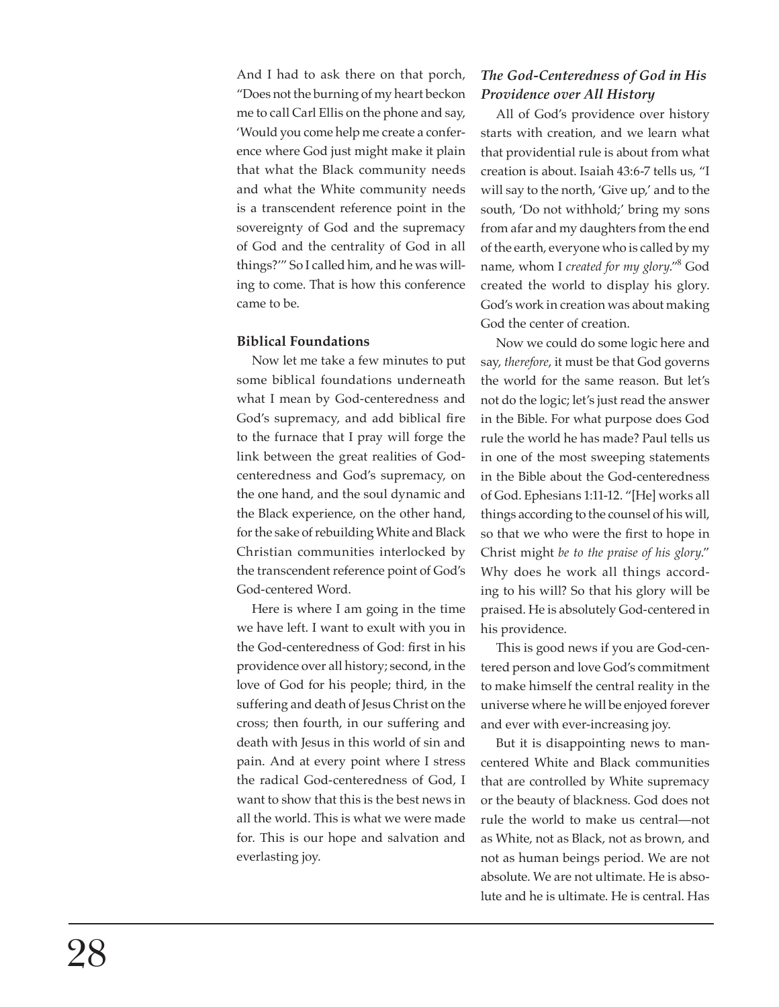And I had to ask there on that porch, "Does not the burning of my heart beckon me to call Carl Ellis on the phone and say, 'Would you come help me create a conference where God just might make it plain that what the Black community needs and what the White community needs is a transcendent reference point in the sovereignty of God and the supremacy of God and the centrality of God in all things?'" So I called him, and he was willing to come. That is how this conference came to be.

#### **Biblical Foundations**

Now let me take a few minutes to put some biblical foundations underneath what I mean by God-centeredness and God's supremacy, and add biblical fire to the furnace that I pray will forge the link between the great realities of Godcenteredness and God's supremacy, on the one hand, and the soul dynamic and the Black experience, on the other hand, for the sake of rebuilding White and Black Christian communities interlocked by the transcendent reference point of God's God-centered Word.

Here is where I am going in the time we have left. I want to exult with you in the God-centeredness of God: first in his providence over all history; second, in the love of God for his people; third, in the suffering and death of Jesus Christ on the cross; then fourth, in our suffering and death with Jesus in this world of sin and pain. And at every point where I stress the radical God-centeredness of God, I want to show that this is the best news in all the world. This is what we were made for. This is our hope and salvation and everlasting joy.

## *The God-Centeredness of God in His Providence over All History*

All of God's providence over history starts with creation, and we learn what that providential rule is about from what creation is about. Isaiah 43:6-7 tells us, "I will say to the north, 'Give up,' and to the south, 'Do not withhold;' bring my sons from afar and my daughters from the end of the earth, everyone who is called by my name, whom I *created for my glory*."<sup>8</sup> God created the world to display his glory. God's work in creation was about making God the center of creation.

Now we could do some logic here and say, *therefore*, it must be that God governs the world for the same reason. But let's not do the logic; let's just read the answer in the Bible. For what purpose does God rule the world he has made? Paul tells us in one of the most sweeping statements in the Bible about the God-centeredness of God. Ephesians 1:11-12. "[He] works all things according to the counsel of his will, so that we who were the first to hope in Christ might *be to the praise of his glory*." Why does he work all things according to his will? So that his glory will be praised. He is absolutely God-centered in his providence.

This is good news if you are God-centered person and love God's commitment to make himself the central reality in the universe where he will be enjoyed forever and ever with ever-increasing joy.

But it is disappointing news to mancentered White and Black communities that are controlled by White supremacy or the beauty of blackness. God does not rule the world to make us central—not as White, not as Black, not as brown, and not as human beings period. We are not absolute. We are not ultimate. He is absolute and he is ultimate. He is central. Has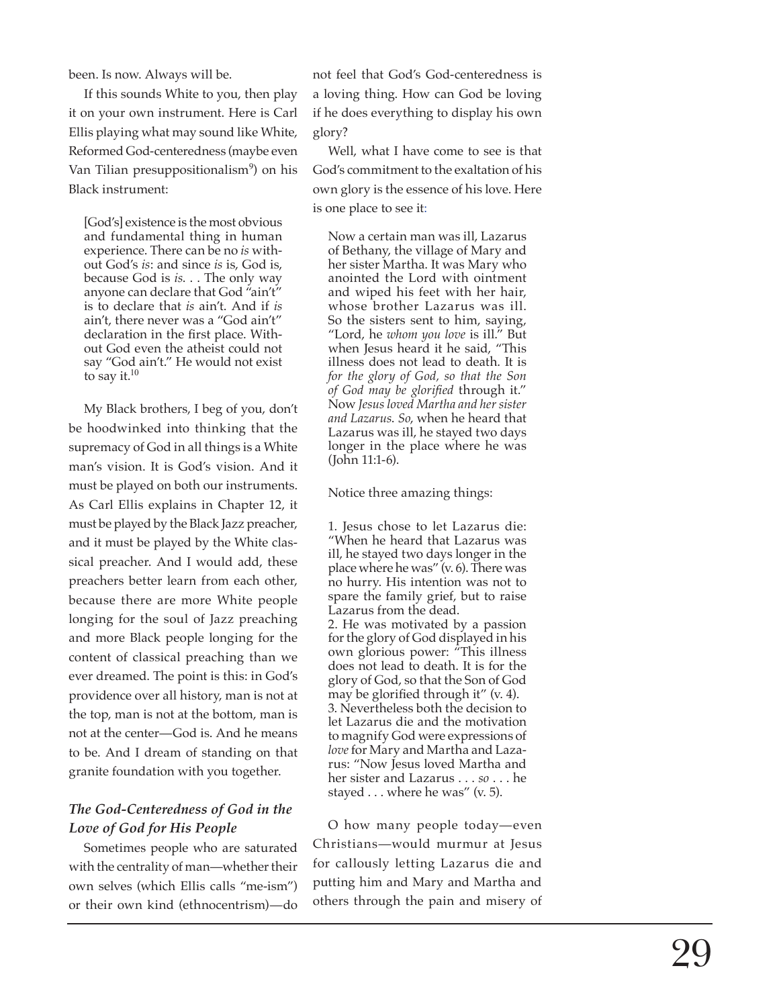been. Is now. Always will be.

If this sounds White to you, then play it on your own instrument. Here is Carl Ellis playing what may sound like White, Reformed God-centeredness (maybe even Van Tilian presuppositionalism<sup>9</sup>) on his Black instrument:

[God's] existence is the most obvious and fundamental thing in human experience. There can be no *is* without God's *is*: and since *is* is, God is, because God is *is*. . . The only way anyone can declare that God "ain't" is to declare that *is* ain't. And if *is* ain't, there never was a "God ain't" declaration in the first place. Without God even the atheist could not say "God ain't." He would not exist to say it. $10$ 

My Black brothers, I beg of you, don't be hoodwinked into thinking that the supremacy of God in all things is a White man's vision. It is God's vision. And it must be played on both our instruments. As Carl Ellis explains in Chapter 12, it must be played by the Black Jazz preacher, and it must be played by the White classical preacher. And I would add, these preachers better learn from each other, because there are more White people longing for the soul of Jazz preaching and more Black people longing for the content of classical preaching than we ever dreamed. The point is this: in God's providence over all history, man is not at the top, man is not at the bottom, man is not at the center—God is. And he means to be. And I dream of standing on that granite foundation with you together.

## *The God-Centeredness of God in the Love of God for His People*

Sometimes people who are saturated with the centrality of man—whether their own selves (which Ellis calls "me-ism") or their own kind (ethnocentrism)—do not feel that God's God-centeredness is a loving thing. How can God be loving if he does everything to display his own glory?

Well, what I have come to see is that God's commitment to the exaltation of his own glory is the essence of his love. Here is one place to see it:

Now a certain man was ill, Lazarus of Bethany, the village of Mary and her sister Martha. It was Mary who anointed the Lord with ointment and wiped his feet with her hair, whose brother Lazarus was ill. So the sisters sent to him, saying, "Lord, he *whom you love* is ill." But when Jesus heard it he said, "This illness does not lead to death. It is *for the glory of God, so that the Son*  of God may be glorified through it." Now *Jesus loved Martha and her sister and Lazarus*. *So*, when he heard that Lazarus was ill, he stayed two days longer in the place where he was (John 11:1-6).

Notice three amazing things:

1. Jesus chose to let Lazarus die: "When he heard that Lazarus was ill, he stayed two days longer in the place where he was" (v. 6). There was no hurry. His intention was not to spare the family grief, but to raise Lazarus from the dead. 2. He was motivated by a passion for the glory of God displayed in his own glorious power: "This illness does not lead to death. It is for the glory of God, so that the Son of God may be glorified through it" (v. 4). 3. Nevertheless both the decision to let Lazarus die and the motivation to magnify God were expressions of *love* for Mary and Martha and Lazarus: "Now Jesus loved Martha and her sister and Lazarus . . . *so* . . . he stayed . . . where he was" (v. 5).

O how many people today—even Christians—would murmur at Jesus for callously letting Lazarus die and putting him and Mary and Martha and others through the pain and misery of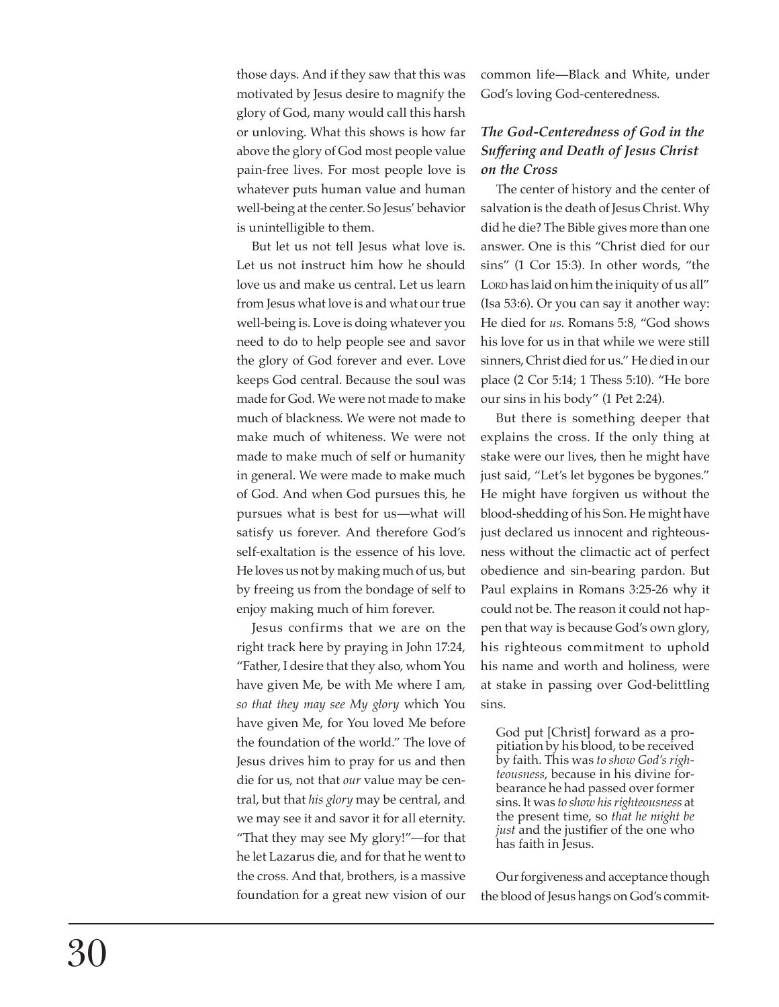those days. And if they saw that this was motivated by Jesus desire to magnify the glory of God, many would call this harsh or unloving. What this shows is how far above the glory of God most people value pain-free lives. For most people love is whatever puts human value and human well-being at the center. So Jesus' behavior is unintelligible to them.

But let us not tell Jesus what love is. Let us not instruct him how he should love us and make us central. Let us learn from Jesus what love is and what our true well-being is. Love is doing whatever you need to do to help people see and savor the glory of God forever and ever. Love keeps God central. Because the soul was made for God. We were not made to make much of blackness. We were not made to make much of whiteness. We were not made to make much of self or humanity in general. We were made to make much of God. And when God pursues this, he pursues what is best for us—what will satisfy us forever. And therefore God's self-exaltation is the essence of his love. He loves us not by making much of us, but by freeing us from the bondage of self to enjoy making much of him forever.

Jesus confirms that we are on the right track here by praying in John 17:24, "Father, I desire that they also, whom You have given Me, be with Me where I am, *so that they may see My glory* which You have given Me, for You loved Me before the foundation of the world." The love of Jesus drives him to pray for us and then die for us, not that *our* value may be central, but that *his glory* may be central, and we may see it and savor it for all eternity. "That they may see My glory!"—for that he let Lazarus die, and for that he went to the cross. And that, brothers, is a massive foundation for a great new vision of our common life—Black and White, under God's loving God-centeredness.

## *The God-Centeredness of God in the Suffering and Death of Jesus Christ on the Cross*

The center of history and the center of salvation is the death of Jesus Christ. Why did he die? The Bible gives more than one answer. One is this "Christ died for our sins" (1 Cor 15:3). In other words, "the LORD has laid on him the iniquity of us all" (Isa 53:6). Or you can say it another way: He died for *us*. Romans 5:8, "God shows his love for us in that while we were still sinners, Christ died for us." He died in our place (2 Cor 5:14; 1 Thess 5:10). "He bore our sins in his body" (1 Pet 2:24).

But there is something deeper that explains the cross. If the only thing at stake were our lives, then he might have just said, "Let's let bygones be bygones." He might have forgiven us without the blood-shedding of his Son. He might have just declared us innocent and righteousness without the climactic act of perfect obedience and sin-bearing pardon. But Paul explains in Romans 3:25-26 why it could not be. The reason it could not happen that way is because God's own glory, his righteous commitment to uphold his name and worth and holiness, were at stake in passing over God-belittling sins.

God put [Christ] forward as a propitiation by his blood, to be received by faith. This was *to show God's righteousness*, because in his divine forbearance he had passed over former sins. It was *to show his righteousness* at the present time, so *that he might be just* and the justifier of the one who has faith in Jesus.

Our forgiveness and acceptance though the blood of Jesus hangs on God's commit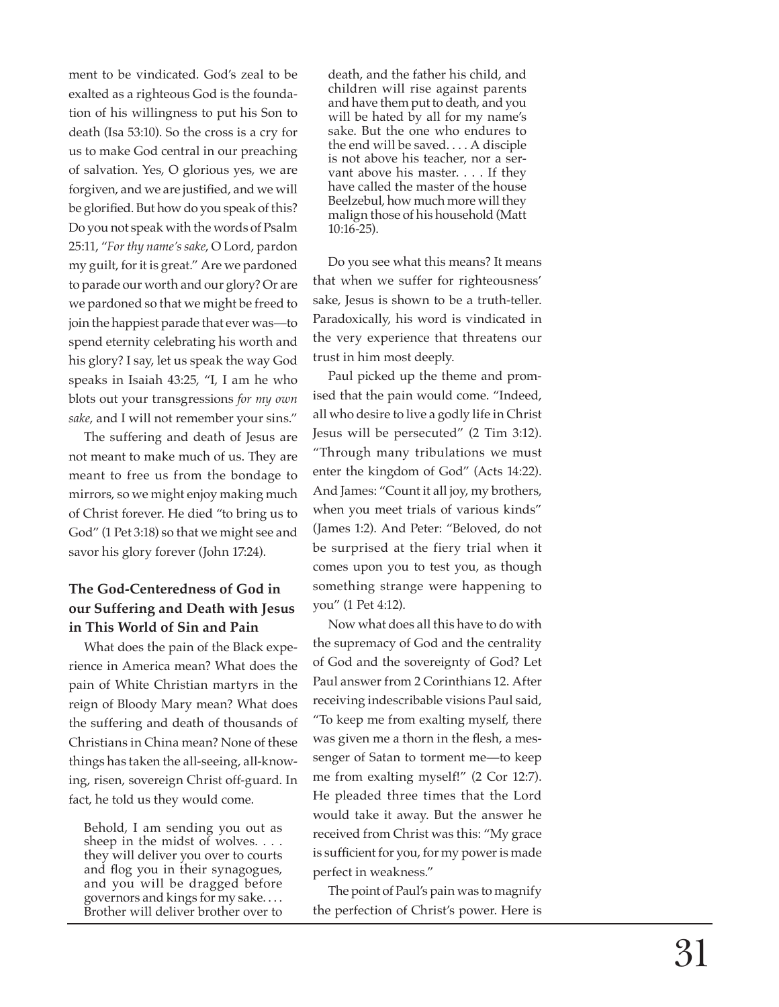ment to be vindicated. God's zeal to be exalted as a righteous God is the foundation of his willingness to put his Son to death (Isa 53:10). So the cross is a cry for us to make God central in our preaching of salvation. Yes, O glorious yes, we are forgiven, and we are justified, and we will be glorified. But how do you speak of this? Do you not speak with the words of Psalm 25:11, "*For thy name's sake*, O Lord, pardon my guilt, for it is great." Are we pardoned to parade our worth and our glory? Or are we pardoned so that we might be freed to join the happiest parade that ever was—to spend eternity celebrating his worth and his glory? I say, let us speak the way God speaks in Isaiah 43:25, "I, I am he who blots out your transgressions *for my own sake*, and I will not remember your sins."

The suffering and death of Jesus are not meant to make much of us. They are meant to free us from the bondage to mirrors, so we might enjoy making much of Christ forever. He died "to bring us to God" (1 Pet 3:18) so that we might see and savor his glory forever (John 17:24).

## **The God-Centeredness of God in our Suffering and Death with Jesus in This World of Sin and Pain**

What does the pain of the Black experience in America mean? What does the pain of White Christian martyrs in the reign of Bloody Mary mean? What does the suffering and death of thousands of Christians in China mean? None of these things has taken the all-seeing, all-knowing, risen, sovereign Christ off-guard. In fact, he told us they would come.

Behold, I am sending you out as sheep in the midst of wolves. . . . they will deliver you over to courts and flog you in their synagogues, and you will be dragged before governors and kings for my sake. . . . Brother will deliver brother over to

death, and the father his child, and children will rise against parents and have them put to death, and you will be hated by all for my name's sake. But the one who endures to the end will be saved. . . . A disciple is not above his teacher, nor a servant above his master. . . . If they have called the master of the house Beelzebul, how much more will they malign those of his household (Matt 10:16-25).

Do you see what this means? It means that when we suffer for righteousness' sake, Jesus is shown to be a truth-teller. Paradoxically, his word is vindicated in the very experience that threatens our trust in him most deeply.

Paul picked up the theme and promised that the pain would come. "Indeed, all who desire to live a godly life in Christ Jesus will be persecuted" (2 Tim 3:12). "Through many tribulations we must enter the kingdom of God" (Acts 14:22). And James: "Count it all joy, my brothers, when you meet trials of various kinds" (James 1:2). And Peter: "Beloved, do not be surprised at the fiery trial when it comes upon you to test you, as though something strange were happening to you" (1 Pet 4:12).

Now what does all this have to do with the supremacy of God and the centrality of God and the sovereignty of God? Let Paul answer from 2 Corinthians 12. After receiving indescribable visions Paul said, "To keep me from exalting myself, there was given me a thorn in the flesh, a messenger of Satan to torment me—to keep me from exalting myself!" (2 Cor 12:7). He pleaded three times that the Lord would take it away. But the answer he received from Christ was this: "My grace is sufficient for you, for my power is made perfect in weakness."

The point of Paul's pain was to magnify the perfection of Christ's power. Here is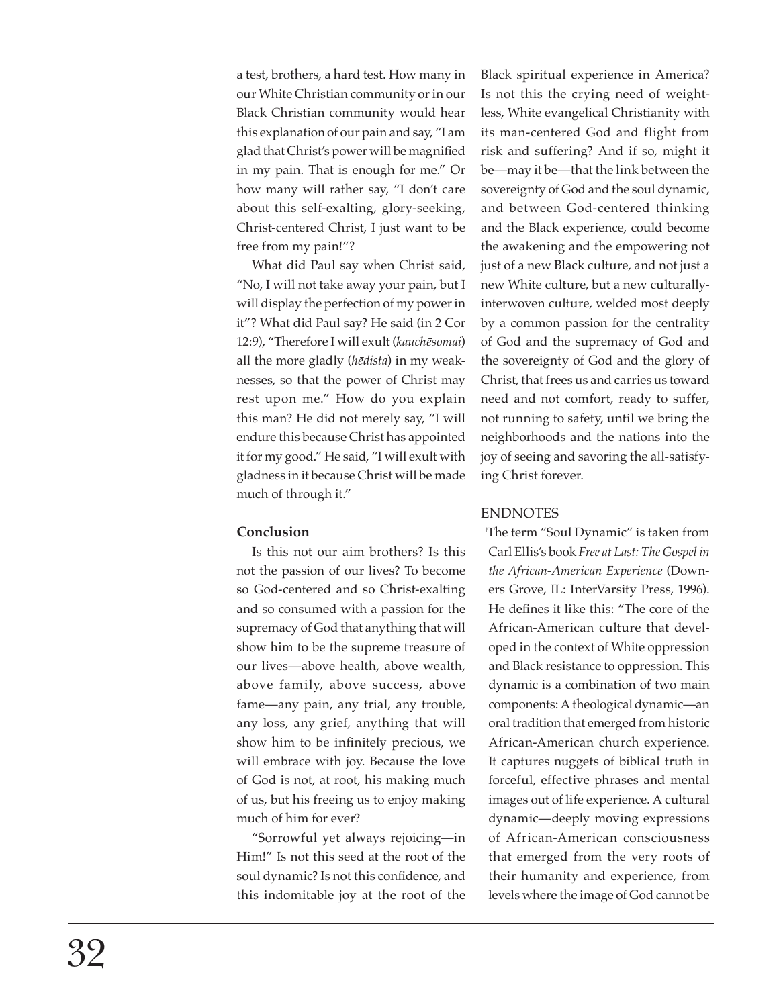a test, brothers, a hard test. How many in our White Christian community or in our Black Christian community would hear this explanation of our pain and say, "I am glad that Christ's power will be magnified in my pain. That is enough for me." Or how many will rather say, "I don't care about this self-exalting, glory-seeking, Christ-centered Christ, I just want to be free from my pain!"?

What did Paul say when Christ said, "No, I will not take away your pain, but I will display the perfection of my power in it"? What did Paul say? He said (in 2 Cor 12:9), "Therefore I will exult (*kauchēsomai*) all the more gladly (*hēdista*) in my weaknesses, so that the power of Christ may rest upon me." How do you explain this man? He did not merely say, "I will endure this because Christ has appointed it for my good." He said, "I will exult with gladness in it because Christ will be made much of through it."

#### **Conclusion**

Is this not our aim brothers? Is this not the passion of our lives? To become so God-centered and so Christ-exalting and so consumed with a passion for the supremacy of God that anything that will show him to be the supreme treasure of our lives—above health, above wealth, above family, above success, above fame—any pain, any trial, any trouble, any loss, any grief, anything that will show him to be infinitely precious, we will embrace with joy. Because the love of God is not, at root, his making much of us, but his freeing us to enjoy making much of him for ever?

"Sorrowful yet always rejoicing—in Him!" Is not this seed at the root of the soul dynamic? Is not this confidence, and this indomitable joy at the root of the Black spiritual experience in America? Is not this the crying need of weightless, White evangelical Christianity with its man-centered God and flight from risk and suffering? And if so, might it be—may it be—that the link between the sovereignty of God and the soul dynamic, and between God-centered thinking and the Black experience, could become the awakening and the empowering not just of a new Black culture, and not just a new White culture, but a new culturallyinterwoven culture, welded most deeply by a common passion for the centrality of God and the supremacy of God and the sovereignty of God and the glory of Christ, that frees us and carries us toward need and not comfort, ready to suffer, not running to safety, until we bring the neighborhoods and the nations into the joy of seeing and savoring the all-satisfying Christ forever.

#### ENDNOTES

<sup>1</sup>The term "Soul Dynamic" is taken from Carl Ellis's book *Free at Last: The Gospel in the African-American Experience* (Downers Grove, IL: InterVarsity Press, 1996). He defines it like this: "The core of the African-American culture that developed in the context of White oppression and Black resistance to oppression. This dynamic is a combination of two main components: A theological dynamic—an oral tradition that emerged from historic African-American church experience. It captures nuggets of biblical truth in forceful, effective phrases and mental images out of life experience. A cultural dynamic—deeply moving expressions of African-American consciousness that emerged from the very roots of their humanity and experience, from levels where the image of God cannot be